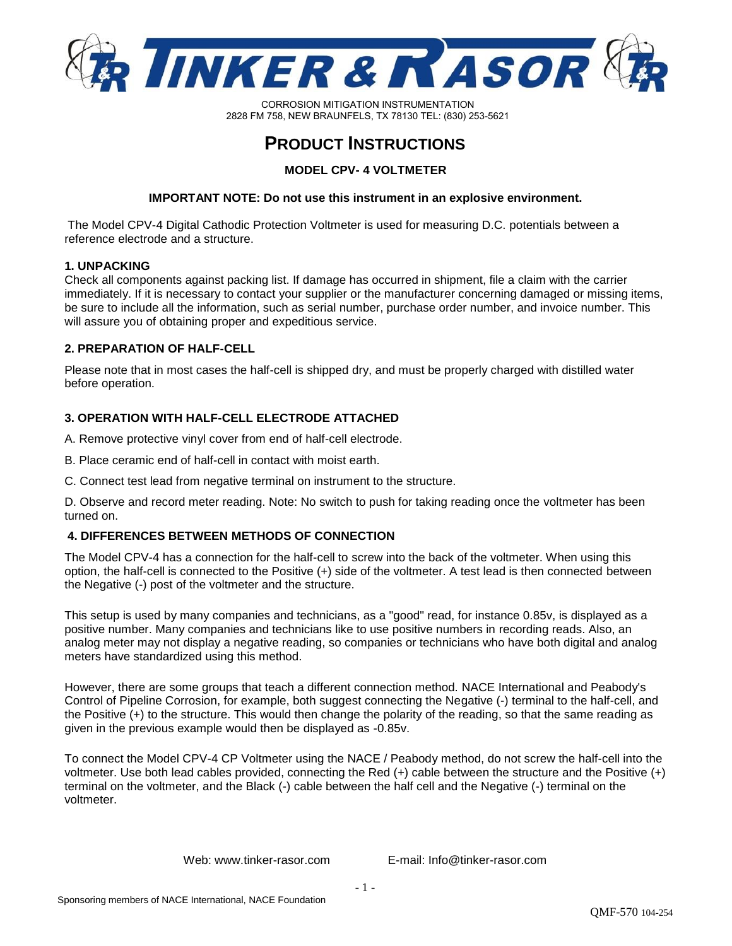

CORROSION MITIGATION INSTRUMENTATION 2828 FM 758, NEW BRAUNFELS, TX 78130 TEL: (830) 253-5621

# **PRODUCT INSTRUCTIONS**

**MODEL CPV- 4 VOLTMETER** 

## **IMPORTANT NOTE: Do not use this instrument in an explosive environment.**

 The Model CPV-4 Digital Cathodic Protection Voltmeter is used for measuring D.C. potentials between a reference electrode and a structure.

### **1. UNPACKING**

Check all components against packing list. If damage has occurred in shipment, file a claim with the carrier immediately. If it is necessary to contact your supplier or the manufacturer concerning damaged or missing items, be sure to include all the information, such as serial number, purchase order number, and invoice number. This will assure you of obtaining proper and expeditious service.

### **2. PREPARATION OF HALF-CELL**

Please note that in most cases the half-cell is shipped dry, and must be properly charged with distilled water before operation.

## **3. OPERATION WITH HALF-CELL ELECTRODE ATTACHED**

A. Remove protective vinyl cover from end of half-cell electrode.

- B. Place ceramic end of half-cell in contact with moist earth.
- C. Connect test lead from negative terminal on instrument to the structure.

D. Observe and record meter reading. Note: No switch to push for taking reading once the voltmeter has been turned on.

#### **4. DIFFERENCES BETWEEN METHODS OF CONNECTION**

The Model CPV-4 has a connection for the half-cell to screw into the back of the voltmeter. When using this option, the half-cell is connected to the Positive (+) side of the voltmeter. A test lead is then connected between the Negative (-) post of the voltmeter and the structure.

This setup is used by many companies and technicians, as a "good" read, for instance 0.85v, is displayed as a positive number. Many companies and technicians like to use positive numbers in recording reads. Also, an analog meter may not display a negative reading, so companies or technicians who have both digital and analog meters have standardized using this method.

However, there are some groups that teach a different connection method. NACE International and Peabody's Control of Pipeline Corrosion, for example, both suggest connecting the Negative (-) terminal to the half-cell, and the Positive (+) to the structure. This would then change the polarity of the reading, so that the same reading as given in the previous example would then be displayed as -0.85v.

To connect the Model CPV-4 CP Voltmeter using the NACE / Peabody method, do not screw the half-cell into the voltmeter. Use both lead cables provided, connecting the Red (+) cable between the structure and the Positive (+) terminal on the voltmeter, and the Black (-) cable between the half cell and the Negative (-) terminal on the voltmeter.

Web: www.tinker-rasor.com E-mail: Info@tinker-rasor.com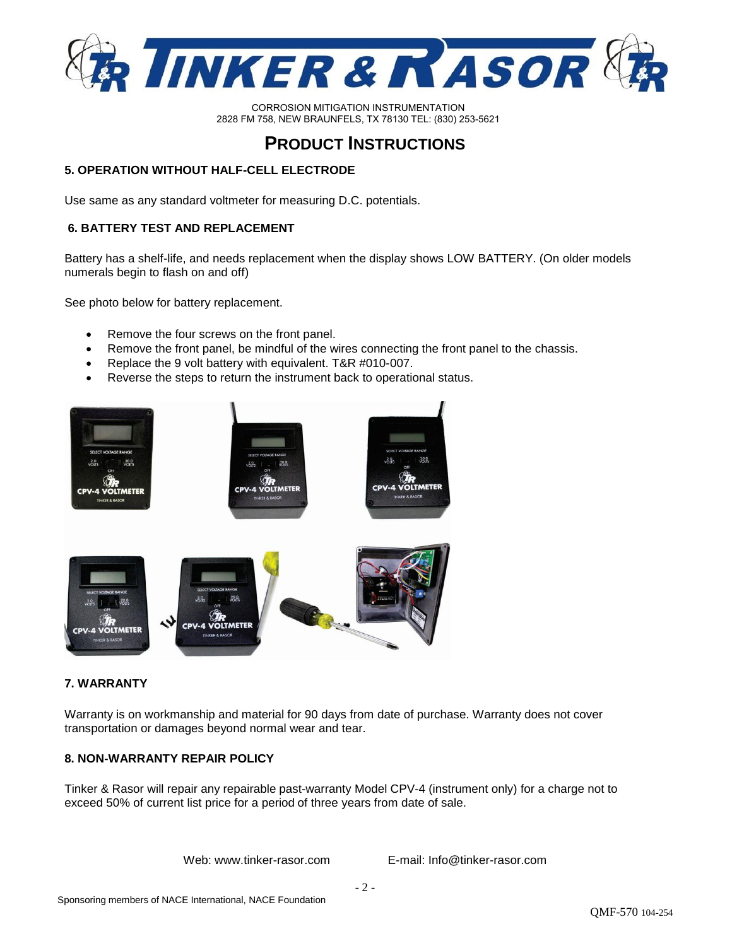

CORROSION MITIGATION INSTRUMENTATION 2828 FM 758, NEW BRAUNFELS, TX 78130 TEL: (830) 253-5621

## **PRODUCT INSTRUCTIONS**

## **5. OPERATION WITHOUT HALF-CELL ELECTRODE**

Use same as any standard voltmeter for measuring D.C. potentials.

## **6. BATTERY TEST AND REPLACEMENT**

Battery has a shelf-life, and needs replacement when the display shows LOW BATTERY. (On older models numerals begin to flash on and off)

See photo below for battery replacement.

- Remove the four screws on the front panel.
- Remove the front panel, be mindful of the wires connecting the front panel to the chassis.
- Replace the 9 volt battery with equivalent. T&R #010-007.
- Reverse the steps to return the instrument back to operational status.



## **7. WARRANTY**

Warranty is on workmanship and material for 90 days from date of purchase. Warranty does not cover transportation or damages beyond normal wear and tear.

## **8. NON-WARRANTY REPAIR POLICY**

Tinker & Rasor will repair any repairable past-warranty Model CPV-4 (instrument only) for a charge not to exceed 50% of current list price for a period of three years from date of sale.

Web: www.tinker-rasor.com E-mail: Info@tinker-rasor.com